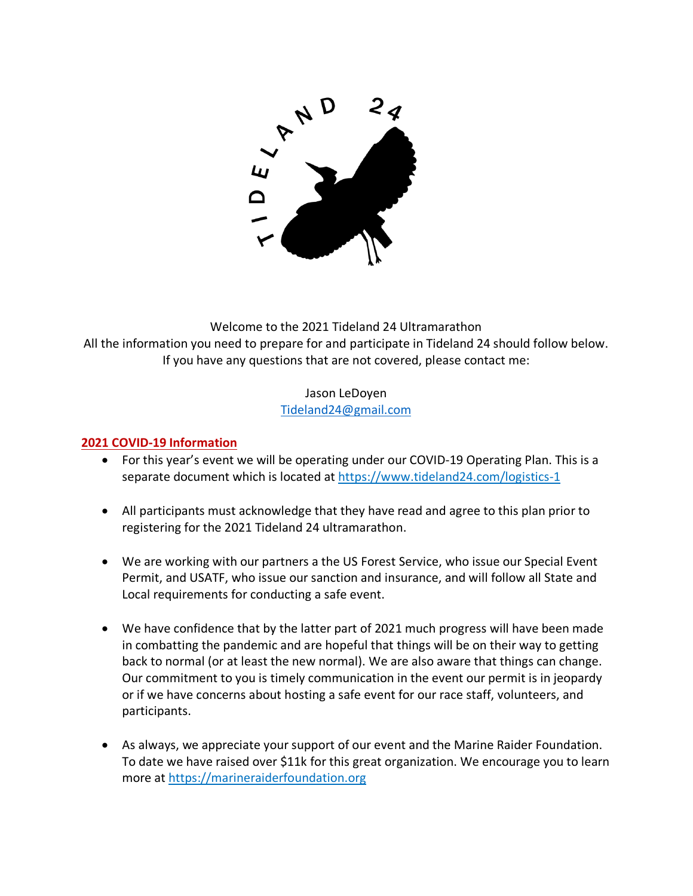

Welcome to the 2021 Tideland 24 Ultramarathon All the information you need to prepare for and participate in Tideland 24 should follow below. If you have any questions that are not covered, please contact me:

### Jason LeDoyen Tideland24@gmail.com

# **2021 COVID-19 Information**

- For this year's event we will be operating under our COVID-19 Operating Plan. This is a separate document which is located at https://www.tideland24.com/logistics-1
- All participants must acknowledge that they have read and agree to this plan prior to registering for the 2021 Tideland 24 ultramarathon.
- We are working with our partners a the US Forest Service, who issue our Special Event Permit, and USATF, who issue our sanction and insurance, and will follow all State and Local requirements for conducting a safe event.
- We have confidence that by the latter part of 2021 much progress will have been made in combatting the pandemic and are hopeful that things will be on their way to getting back to normal (or at least the new normal). We are also aware that things can change. Our commitment to you is timely communication in the event our permit is in jeopardy or if we have concerns about hosting a safe event for our race staff, volunteers, and participants.
- As always, we appreciate your support of our event and the Marine Raider Foundation. To date we have raised over \$11k for this great organization. We encourage you to learn more at https://marineraiderfoundation.org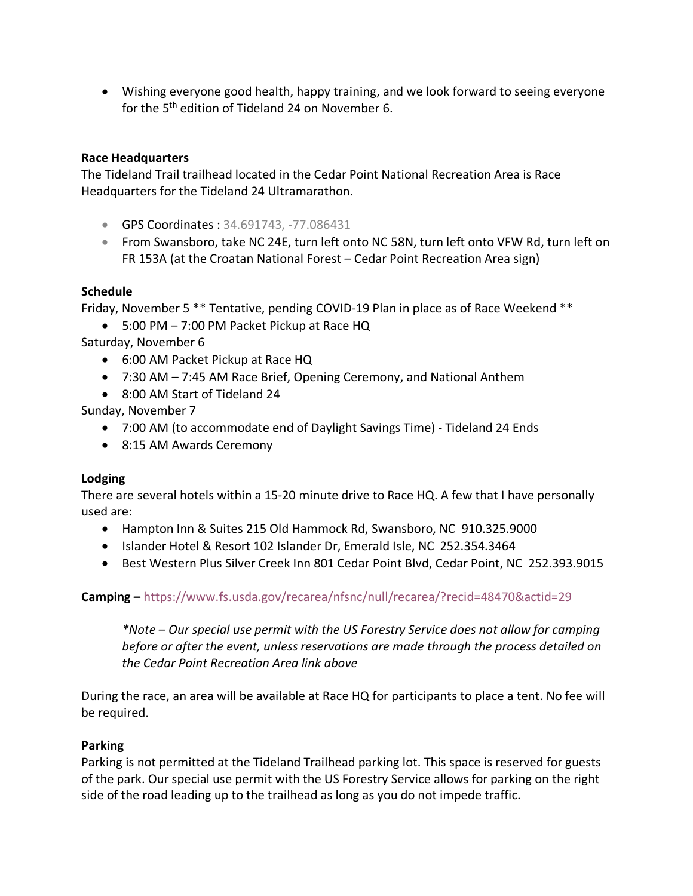• Wishing everyone good health, happy training, and we look forward to seeing everyone for the 5<sup>th</sup> edition of Tideland 24 on November 6.

#### **Race Headquarters**

The Tideland Trail trailhead located in the Cedar Point National Recreation Area is Race Headquarters for the Tideland 24 Ultramarathon.

- GPS Coordinates : 34.691743, -77.086431
- From Swansboro, take NC 24E, turn left onto NC 58N, turn left onto VFW Rd, turn left on FR 153A (at the Croatan National Forest – Cedar Point Recreation Area sign)

#### **Schedule**

Friday, November 5 \*\* Tentative, pending COVID-19 Plan in place as of Race Weekend \*\*

• 5:00 PM – 7:00 PM Packet Pickup at Race HQ

Saturday, November 6

- 6:00 AM Packet Pickup at Race HQ
- 7:30 AM 7:45 AM Race Brief, Opening Ceremony, and National Anthem
- 8:00 AM Start of Tideland 24

Sunday, November 7

- 7:00 AM (to accommodate end of Daylight Savings Time) Tideland 24 Ends
- 8:15 AM Awards Ceremony

#### **Lodging**

There are several hotels within a 15-20 minute drive to Race HQ. A few that I have personally used are:

- Hampton Inn & Suites 215 Old Hammock Rd, Swansboro, NC 910.325.9000
- Islander Hotel & Resort 102 Islander Dr, Emerald Isle, NC 252.354.3464
- Best Western Plus Silver Creek Inn 801 Cedar Point Blvd, Cedar Point, NC 252.393.9015

#### **Camping –** https://www.fs.usda.gov/recarea/nfsnc/null/recarea/?recid=48470&actid=29

*\*Note – Our special use permit with the US Forestry Service does not allow for camping before or after the event, unless reservations are made through the process detailed on the Cedar Point Recreation Area link above*

During the race, an area will be available at Race HQ for participants to place a tent. No fee will be required.

#### **Parking**

Parking is not permitted at the Tideland Trailhead parking lot. This space is reserved for guests of the park. Our special use permit with the US Forestry Service allows for parking on the right side of the road leading up to the trailhead as long as you do not impede traffic.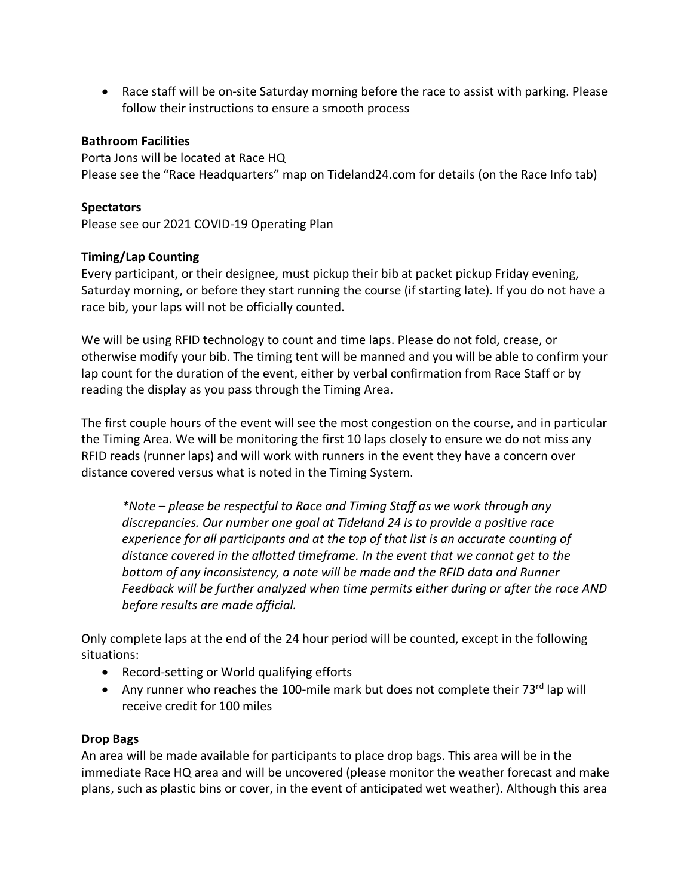• Race staff will be on-site Saturday morning before the race to assist with parking. Please follow their instructions to ensure a smooth process

#### **Bathroom Facilities**

Porta Jons will be located at Race HQ Please see the "Race Headquarters" map on Tideland24.com for details (on the Race Info tab)

#### **Spectators**

Please see our 2021 COVID-19 Operating Plan

#### **Timing/Lap Counting**

Every participant, or their designee, must pickup their bib at packet pickup Friday evening, Saturday morning, or before they start running the course (if starting late). If you do not have a race bib, your laps will not be officially counted.

We will be using RFID technology to count and time laps. Please do not fold, crease, or otherwise modify your bib. The timing tent will be manned and you will be able to confirm your lap count for the duration of the event, either by verbal confirmation from Race Staff or by reading the display as you pass through the Timing Area.

The first couple hours of the event will see the most congestion on the course, and in particular the Timing Area. We will be monitoring the first 10 laps closely to ensure we do not miss any RFID reads (runner laps) and will work with runners in the event they have a concern over distance covered versus what is noted in the Timing System.

*\*Note – please be respectful to Race and Timing Staff as we work through any discrepancies. Our number one goal at Tideland 24 is to provide a positive race experience for all participants and at the top of that list is an accurate counting of distance covered in the allotted timeframe. In the event that we cannot get to the bottom of any inconsistency, a note will be made and the RFID data and Runner Feedback will be further analyzed when time permits either during or after the race AND before results are made official.*

Only complete laps at the end of the 24 hour period will be counted, except in the following situations:

- Record-setting or World qualifying efforts
- Any runner who reaches the 100-mile mark but does not complete their 73rd lap will receive credit for 100 miles

#### **Drop Bags**

An area will be made available for participants to place drop bags. This area will be in the immediate Race HQ area and will be uncovered (please monitor the weather forecast and make plans, such as plastic bins or cover, in the event of anticipated wet weather). Although this area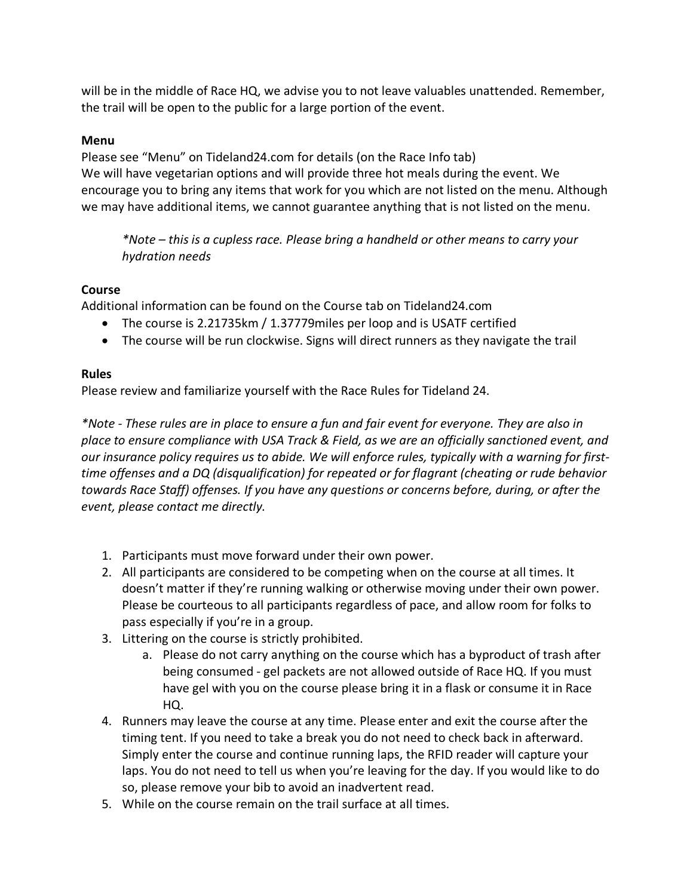will be in the middle of Race HQ, we advise you to not leave valuables unattended. Remember, the trail will be open to the public for a large portion of the event.

# **Menu**

Please see "Menu" on Tideland24.com for details (on the Race Info tab) We will have vegetarian options and will provide three hot meals during the event. We encourage you to bring any items that work for you which are not listed on the menu. Although we may have additional items, we cannot guarantee anything that is not listed on the menu.

*\*Note – this is a cupless race. Please bring a handheld or other means to carry your hydration needs*

# **Course**

Additional information can be found on the Course tab on Tideland24.com

- The course is 2.21735km / 1.37779miles per loop and is USATF certified
- The course will be run clockwise. Signs will direct runners as they navigate the trail

# **Rules**

Please review and familiarize yourself with the Race Rules for Tideland 24.

*\*Note - These rules are in place to ensure a fun and fair event for everyone. They are also in place to ensure compliance with USA Track & Field, as we are an officially sanctioned event, and our insurance policy requires us to abide. We will enforce rules, typically with a warning for firsttime offenses and a DQ (disqualification) for repeated or for flagrant (cheating or rude behavior towards Race Staff) offenses. If you have any questions or concerns before, during, or after the event, please contact me directly.*

- 1. Participants must move forward under their own power.
- 2. All participants are considered to be competing when on the course at all times. It doesn't matter if they're running walking or otherwise moving under their own power. Please be courteous to all participants regardless of pace, and allow room for folks to pass especially if you're in a group.
- 3. Littering on the course is strictly prohibited.
	- a. Please do not carry anything on the course which has a byproduct of trash after being consumed - gel packets are not allowed outside of Race HQ. If you must have gel with you on the course please bring it in a flask or consume it in Race HQ.
- 4. Runners may leave the course at any time. Please enter and exit the course after the timing tent. If you need to take a break you do not need to check back in afterward. Simply enter the course and continue running laps, the RFID reader will capture your laps. You do not need to tell us when you're leaving for the day. If you would like to do so, please remove your bib to avoid an inadvertent read.
- 5. While on the course remain on the trail surface at all times.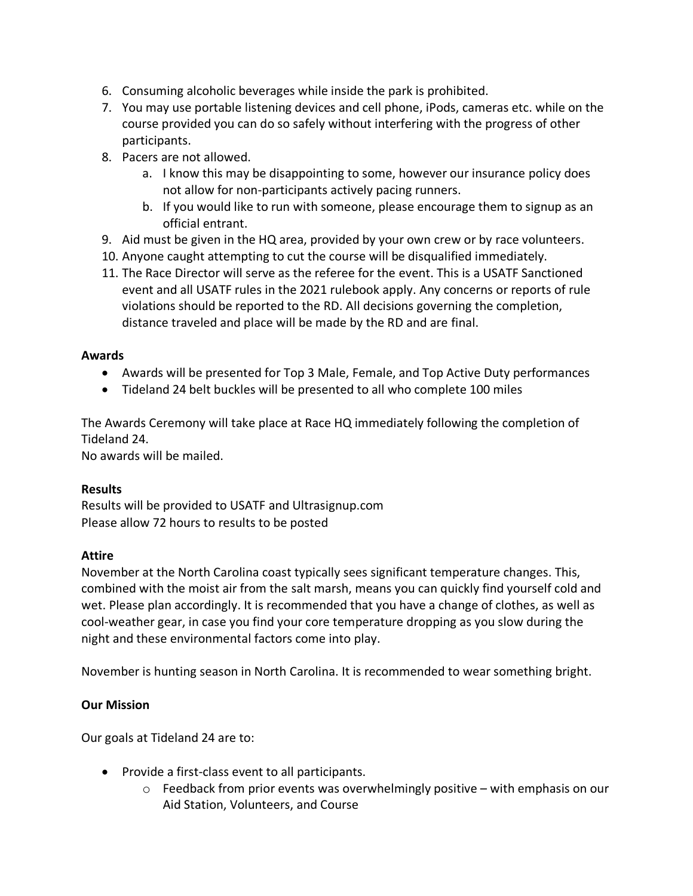- 6. Consuming alcoholic beverages while inside the park is prohibited.
- 7. You may use portable listening devices and cell phone, iPods, cameras etc. while on the course provided you can do so safely without interfering with the progress of other participants.
- 8. Pacers are not allowed.
	- a. I know this may be disappointing to some, however our insurance policy does not allow for non-participants actively pacing runners.
	- b. If you would like to run with someone, please encourage them to signup as an official entrant.
- 9. Aid must be given in the HQ area, provided by your own crew or by race volunteers.
- 10. Anyone caught attempting to cut the course will be disqualified immediately.
- 11. The Race Director will serve as the referee for the event. This is a USATF Sanctioned event and all USATF rules in the 2021 rulebook apply. Any concerns or reports of rule violations should be reported to the RD. All decisions governing the completion, distance traveled and place will be made by the RD and are final.

### **Awards**

- Awards will be presented for Top 3 Male, Female, and Top Active Duty performances
- Tideland 24 belt buckles will be presented to all who complete 100 miles

The Awards Ceremony will take place at Race HQ immediately following the completion of Tideland 24.

No awards will be mailed.

# **Results**

Results will be provided to USATF and Ultrasignup.com Please allow 72 hours to results to be posted

# **Attire**

November at the North Carolina coast typically sees significant temperature changes. This, combined with the moist air from the salt marsh, means you can quickly find yourself cold and wet. Please plan accordingly. It is recommended that you have a change of clothes, as well as cool-weather gear, in case you find your core temperature dropping as you slow during the night and these environmental factors come into play.

November is hunting season in North Carolina. It is recommended to wear something bright.

# **Our Mission**

Our goals at Tideland 24 are to:

- Provide a first-class event to all participants.
	- $\circ$  Feedback from prior events was overwhelmingly positive with emphasis on our Aid Station, Volunteers, and Course